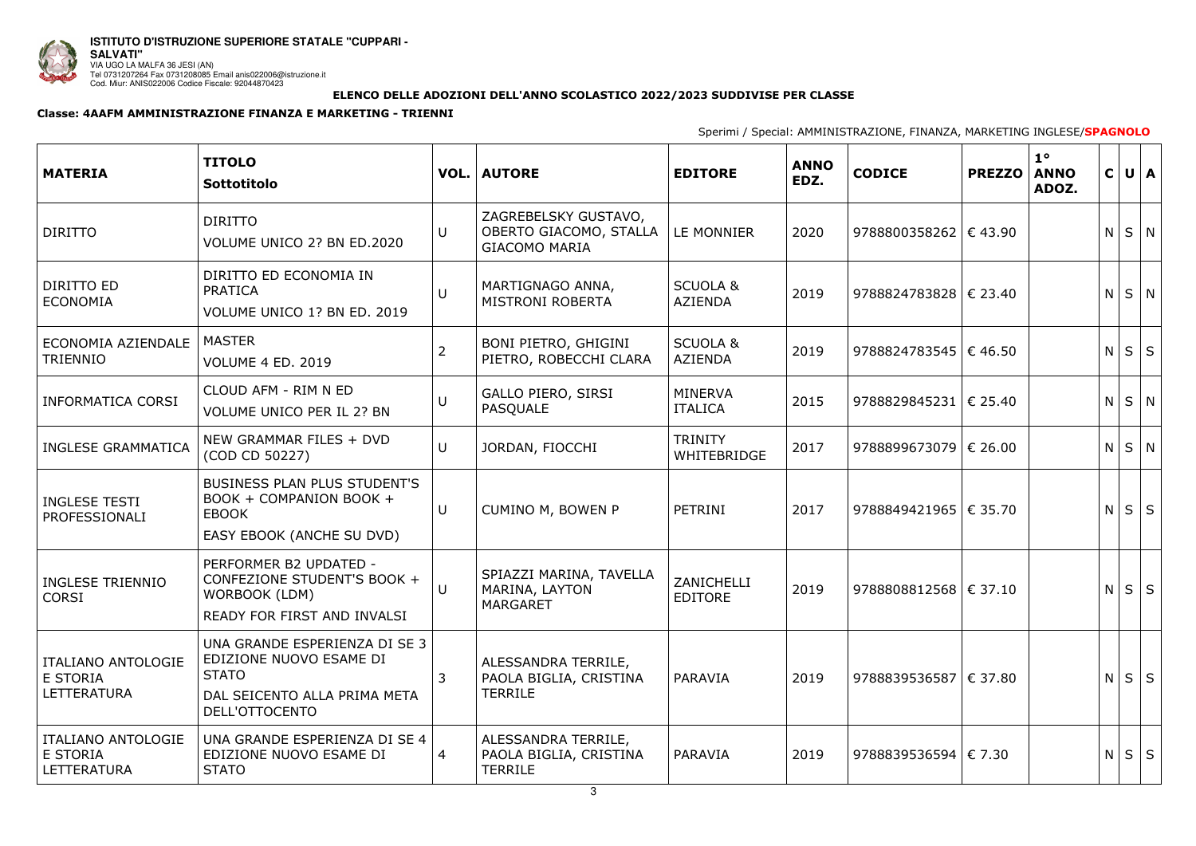

|  | FINANZA, MARKETING INGLESE/SPAGNOLO |  |  |
|--|-------------------------------------|--|--|
|--|-------------------------------------|--|--|

## **ELENCO DELLE ADOZIONI DELL'ANNO SCOLASTICO 2022/2023 SUDDIVISE PER CLASSE**

## **Classe: 4AAFM AMMINISTRAZIONE FINANZA E MARKETING - TRIENNI**

Sperimi / Special: AMMINISTRAZIONE,

| <b>MATERIA</b>                                                     | <b>TITOLO</b><br>Sottotitolo                                                                                               |                | <b>VOL.   AUTORE</b>                                                   | <b>EDITORE</b>                        | <b>ANNO</b><br>EDZ. | <b>CODICE</b>                  | <b>PREZZO</b> | 1 <sup>o</sup><br><b>ANNO</b><br>ADOZ. | $\mathsf{C}$ | $U \mid A$ |  |
|--------------------------------------------------------------------|----------------------------------------------------------------------------------------------------------------------------|----------------|------------------------------------------------------------------------|---------------------------------------|---------------------|--------------------------------|---------------|----------------------------------------|--------------|------------|--|
| <b>DIRITTO</b>                                                     | <b>DIRITTO</b><br>VOLUME UNICO 2? BN ED.2020                                                                               | U              | ZAGREBELSKY GUSTAVO,<br>OBERTO GIACOMO, STALLA<br><b>GIACOMO MARIA</b> | LE MONNIER                            | 2020                | 9788800358262   € 43.90        |               |                                        | N            | $S \mid N$ |  |
| DIRITTO ED<br><b>ECONOMIA</b>                                      | DIRITTO ED ECONOMIA IN<br>PRATICA<br>VOLUME UNICO 1? BN ED. 2019                                                           | $\cup$         | MARTIGNAGO ANNA,<br><b>MISTRONI ROBERTA</b>                            | <b>SCUOLA &amp;</b><br><b>AZIENDA</b> | 2019                | $9788824783828$   € 23.40      |               |                                        | $\mathsf{N}$ | $S \mid N$ |  |
| ECONOMIA AZIENDALE<br><b>TRIENNIO</b>                              | <b>MASTER</b><br><b>VOLUME 4 ED. 2019</b>                                                                                  | $\overline{2}$ | BONI PIETRO, GHIGINI<br>PIETRO, ROBECCHI CLARA                         | <b>SCUOLA &amp;</b><br><b>AZIENDA</b> | 2019                | 9788824783545   $\in$ 46.50    |               |                                        | $\mathsf{N}$ | $S \mid S$ |  |
| <b>INFORMATICA CORSI</b>                                           | CLOUD AFM - RIM N ED<br>VOLUME UNICO PER IL 2? BN                                                                          | $\cup$         | <b>GALLO PIERO, SIRSI</b><br><b>PASOUALE</b>                           | <b>MINERVA</b><br><b>ITALICA</b>      | 2015                | 9788829845231   € 25.40        |               |                                        | $N$ $S$ $N$  |            |  |
| <b>INGLESE GRAMMATICA</b>                                          | NEW GRAMMAR FILES + DVD<br>(COD CD 50227)                                                                                  | U              | JORDAN, FIOCCHI                                                        | <b>TRINITY</b><br>WHITEBRIDGE         | 2017                | 9788899673079   € 26.00        |               |                                        | N            | $S \mid N$ |  |
| <b>INGLESE TESTI</b><br>PROFESSIONALI                              | BUSINESS PLAN PLUS STUDENT'S<br>BOOK + COMPANION BOOK +<br><b>EBOOK</b><br>EASY EBOOK (ANCHE SU DVD)                       | U              | <b>CUMINO M, BOWEN P</b>                                               | PETRINI                               | 2017                | 9788849421965   € 35.70        |               |                                        | N            | $S \mid S$ |  |
| <b>INGLESE TRIENNIO</b><br><b>CORSI</b>                            | PERFORMER B2 UPDATED -<br>CONFEZIONE STUDENT'S BOOK +<br>WORBOOK (LDM)<br>READY FOR FIRST AND INVALSI                      | $\Box$         | SPIAZZI MARINA, TAVELLA<br>MARINA, LAYTON<br><b>MARGARET</b>           | ZANICHELLI<br><b>EDITORE</b>          | 2019                | 9788808812568 $\epsilon$ 37.10 |               |                                        | $N$ $S$ $S$  |            |  |
| <b>ITALIANO ANTOLOGIE</b><br>E STORIA<br><b>LETTERATURA</b>        | UNA GRANDE ESPERIENZA DI SE 3<br>EDIZIONE NUOVO ESAME DI<br><b>STATO</b><br>DAL SEICENTO ALLA PRIMA META<br>DELL'OTTOCENTO | 3              | ALESSANDRA TERRILE,<br>PAOLA BIGLIA, CRISTINA<br><b>TERRILE</b>        | PARAVIA                               | 2019                | 9788839536587 $\in$ 37.80      |               |                                        | N            | $S \mid S$ |  |
| <b>ITALIANO ANTOLOGIE</b><br><b>E STORIA</b><br><b>LETTERATURA</b> | UNA GRANDE ESPERIENZA DI SE 4<br>EDIZIONE NUOVO ESAME DI<br><b>STATO</b>                                                   | 4              | ALESSANDRA TERRILE,<br>PAOLA BIGLIA, CRISTINA<br><b>TERRILE</b>        | <b>PARAVIA</b>                        | 2019                | 9788839536594   € 7.30         |               |                                        | N            | $S \mid S$ |  |